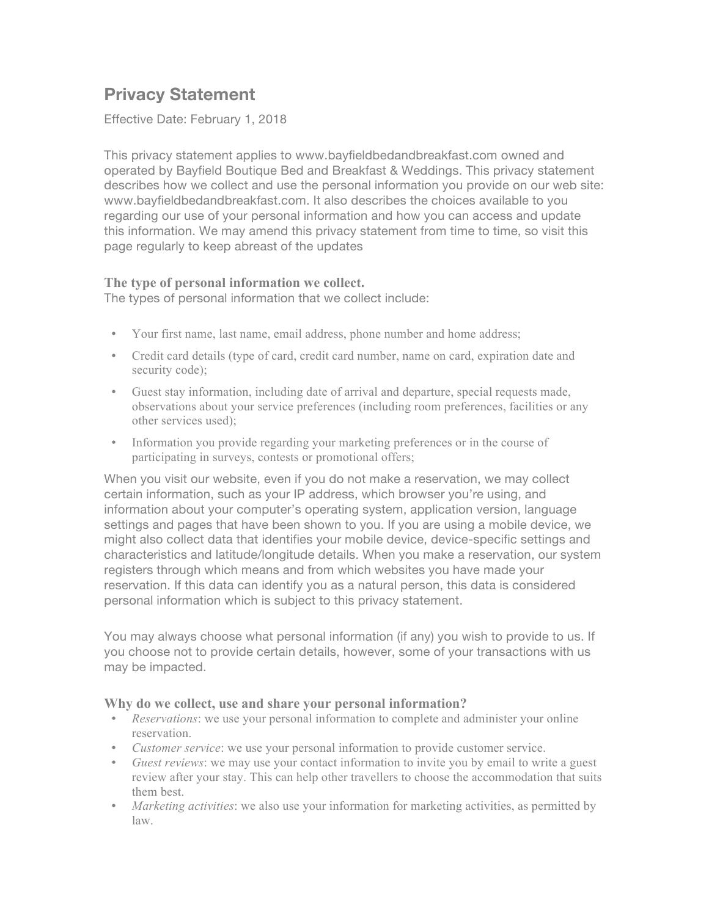# **Privacy Statement**

Effective Date: February 1, 2018

This privacy statement applies to www.bayfieldbedandbreakfast.com owned and operated by Bayfield Boutique Bed and Breakfast & Weddings. This privacy statement describes how we collect and use the personal information you provide on our web site: www.bayfieldbedandbreakfast.com. It also describes the choices available to you regarding our use of your personal information and how you can access and update this information. We may amend this privacy statement from time to time, so visit this page regularly to keep abreast of the updates

# **The type of personal information we collect.**

The types of personal information that we collect include:

- Your first name, last name, email address, phone number and home address;
- Credit card details (type of card, credit card number, name on card, expiration date and security code);
- Guest stay information, including date of arrival and departure, special requests made, observations about your service preferences (including room preferences, facilities or any other services used);
- Information you provide regarding your marketing preferences or in the course of participating in surveys, contests or promotional offers;

When you visit our website, even if you do not make a reservation, we may collect certain information, such as your IP address, which browser you're using, and information about your computer's operating system, application version, language settings and pages that have been shown to you. If you are using a mobile device, we might also collect data that identifies your mobile device, device-specific settings and characteristics and latitude/longitude details. When you make a reservation, our system registers through which means and from which websites you have made your reservation. If this data can identify you as a natural person, this data is considered personal information which is subject to this privacy statement.

You may always choose what personal information (if any) you wish to provide to us. If you choose not to provide certain details, however, some of your transactions with us may be impacted.

#### **Why do we collect, use and share your personal information?**

- *Reservations*: we use your personal information to complete and administer your online reservation.
- *Customer service*: we use your personal information to provide customer service.
- *Guest reviews*: we may use your contact information to invite you by email to write a guest review after your stay. This can help other travellers to choose the accommodation that suits them best.
- *Marketing activities*: we also use your information for marketing activities, as permitted by law.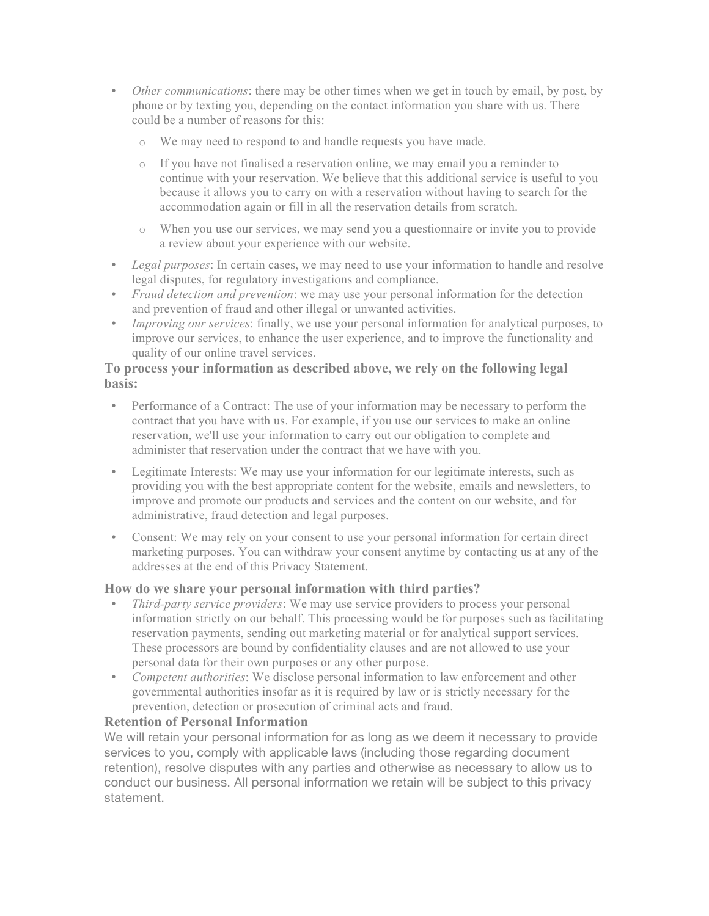- *Other communications*: there may be other times when we get in touch by email, by post, by phone or by texting you, depending on the contact information you share with us. There could be a number of reasons for this:
	- We may need to respond to and handle requests you have made.
	- o If you have not finalised a reservation online, we may email you a reminder to continue with your reservation. We believe that this additional service is useful to you because it allows you to carry on with a reservation without having to search for the accommodation again or fill in all the reservation details from scratch.
	- o When you use our services, we may send you a questionnaire or invite you to provide a review about your experience with our website.
- *Legal purposes*: In certain cases, we may need to use your information to handle and resolve legal disputes, for regulatory investigations and compliance.
- *Fraud detection and prevention*: we may use your personal information for the detection and prevention of fraud and other illegal or unwanted activities.
- *Improving our services*: finally, we use your personal information for analytical purposes, to improve our services, to enhance the user experience, and to improve the functionality and quality of our online travel services.

### **To process your information as described above, we rely on the following legal basis:**

- Performance of a Contract: The use of your information may be necessary to perform the contract that you have with us. For example, if you use our services to make an online reservation, we'll use your information to carry out our obligation to complete and administer that reservation under the contract that we have with you.
- Legitimate Interests: We may use your information for our legitimate interests, such as providing you with the best appropriate content for the website, emails and newsletters, to improve and promote our products and services and the content on our website, and for administrative, fraud detection and legal purposes.
- Consent: We may rely on your consent to use your personal information for certain direct marketing purposes. You can withdraw your consent anytime by contacting us at any of the addresses at the end of this Privacy Statement.

#### **How do we share your personal information with third parties?**

- *Third-party service providers*: We may use service providers to process your personal information strictly on our behalf. This processing would be for purposes such as facilitating reservation payments, sending out marketing material or for analytical support services. These processors are bound by confidentiality clauses and are not allowed to use your personal data for their own purposes or any other purpose.
- *Competent authorities*: We disclose personal information to law enforcement and other governmental authorities insofar as it is required by law or is strictly necessary for the prevention, detection or prosecution of criminal acts and fraud.

#### **Retention of Personal Information**

We will retain your personal information for as long as we deem it necessary to provide services to you, comply with applicable laws (including those regarding document retention), resolve disputes with any parties and otherwise as necessary to allow us to conduct our business. All personal information we retain will be subject to this privacy statement.